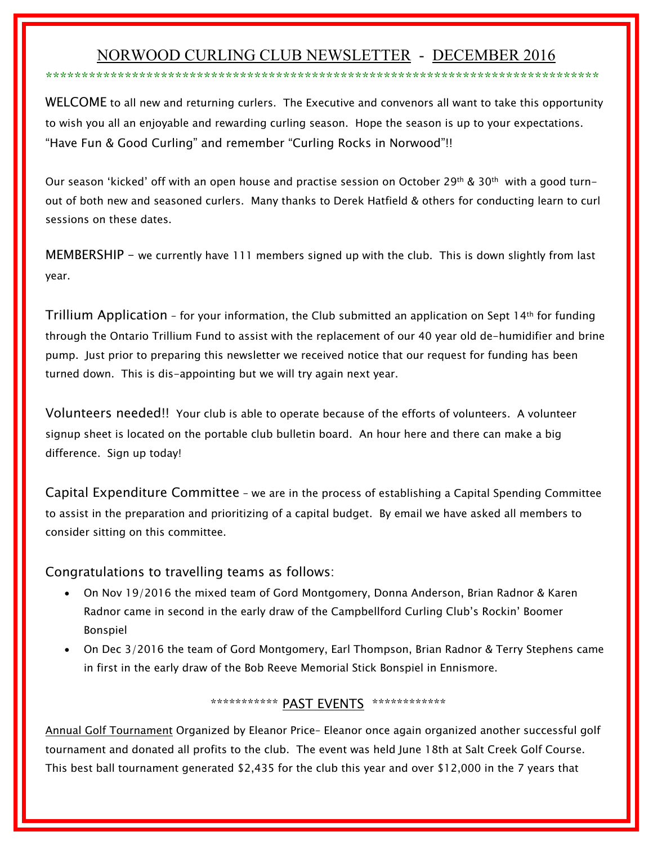# NORWOOD CURLING CLUB NEWSLETTER - DECEMBER 2016 \*\*\*\*\*\*\*\*\*\*\*\*\*\*\*\*\*\*\*\*\*\*\*\*\*\*\*\*\*\*\*\*\*\*\*\*\*\*\*\*\*\*\*\*\*\*\*\*\*\*\*\*\*\*\*\*\*\*\*\*\*\*\*\*\*\*\*\*\*\*\*\*\*\*\*\*\*

WELCOME to all new and returning curlers. The Executive and convenors all want to take this opportunity to wish you all an enjoyable and rewarding curling season. Hope the season is up to your expectations. "Have Fun & Good Curling" and remember "Curling Rocks in Norwood"!!

Our season 'kicked' off with an open house and practise session on October 29<sup>th</sup> & 30<sup>th</sup> with a good turnout of both new and seasoned curlers. Many thanks to Derek Hatfield & others for conducting learn to curl sessions on these dates.

MEMBERSHIP – we currently have 111 members signed up with the club. This is down slightly from last year.

Trillium Application – for your information, the Club submitted an application on Sept 14th for funding through the Ontario Trillium Fund to assist with the replacement of our 40 year old de-humidifier and brine pump. Just prior to preparing this newsletter we received notice that our request for funding has been turned down. This is dis-appointing but we will try again next year.

Volunteers needed!! Your club is able to operate because of the efforts of volunteers. A volunteer signup sheet is located on the portable club bulletin board. An hour here and there can make a big difference. Sign up today!

Capital Expenditure Committee – we are in the process of establishing a Capital Spending Committee to assist in the preparation and prioritizing of a capital budget. By email we have asked all members to consider sitting on this committee.

## Congratulations to travelling teams as follows:

- On Nov 19/2016 the mixed team of Gord Montgomery, Donna Anderson, Brian Radnor & Karen Radnor came in second in the early draw of the Campbellford Curling Club's Rockin' Boomer Bonspiel
- On Dec 3/2016 the team of Gord Montgomery, Earl Thompson, Brian Radnor & Terry Stephens came in first in the early draw of the Bob Reeve Memorial Stick Bonspiel in Ennismore.

## \*\*\*\*\*\*\*\*\*\*\*\*\* PAST EVENTS \*\*\*\*\*\*\*\*\*\*\*\*\*

Annual Golf Tournament Organized by Eleanor Price– Eleanor once again organized another successful golf tournament and donated all profits to the club. The event was held June 18th at Salt Creek Golf Course. This best ball tournament generated \$2,435 for the club this year and over \$12,000 in the 7 years that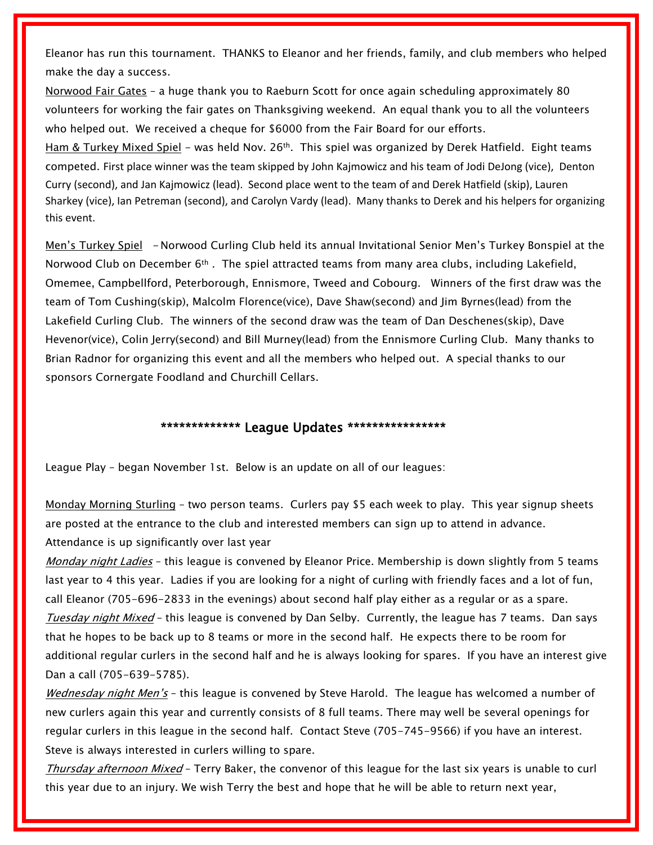Eleanor has run this tournament. THANKS to Eleanor and her friends, family, and club members who helped make the day a success.

Norwood Fair Gates – a huge thank you to Raeburn Scott for once again scheduling approximately 80 volunteers for working the fair gates on Thanksgiving weekend. An equal thank you to all the volunteers who helped out. We received a cheque for \$6000 from the Fair Board for our efforts.

Ham & Turkey Mixed Spiel - was held Nov. 26<sup>th</sup>. This spiel was organized by Derek Hatfield. Eight teams competed. First place winner was the team skipped by John Kajmowicz and his team of Jodi DeJong (vice), Denton Curry (second), and Jan Kajmowicz (lead). Second place went to the team of and Derek Hatfield (skip), Lauren Sharkey (vice), Ian Petreman (second), and Carolyn Vardy (lead). Many thanks to Derek and his helpers for organizing this event.

Men's Turkey Spiel - Norwood Curling Club held its annual Invitational Senior Men's Turkey Bonspiel at the Norwood Club on December 6<sup>th</sup>. The spiel attracted teams from many area clubs, including Lakefield, Omemee, Campbellford, Peterborough, Ennismore, Tweed and Cobourg. Winners of the first draw was the team of Tom Cushing(skip), Malcolm Florence(vice), Dave Shaw(second) and Jim Byrnes(lead) from the Lakefield Curling Club. The winners of the second draw was the team of Dan Deschenes(skip), Dave Hevenor(vice), Colin Jerry(second) and Bill Murney(lead) from the Ennismore Curling Club. Many thanks to Brian Radnor for organizing this event and all the members who helped out. A special thanks to our sponsors Cornergate Foodland and Churchill Cellars.

#### **\*\*\*\*\*\*\*\*\*\*\*\*\* League Updates \*\*\*\*\*\*\*\*\*\*\*\*\*\*\*\***

League Play – began November 1st. Below is an update on all of our leagues:

Monday Morning Sturling – two person teams. Curlers pay \$5 each week to play. This year signup sheets are posted at the entrance to the club and interested members can sign up to attend in advance. Attendance is up significantly over last year

*Monday night Ladies* – this league is convened by Eleanor Price. Membership is down slightly from 5 teams last year to 4 this year. Ladies if you are looking for a night of curling with friendly faces and a lot of fun, call Eleanor (705-696-2833 in the evenings) about second half play either as a regular or as a spare. *Tuesday night Mixed* – this league is convened by Dan Selby. Currently, the league has 7 teams. Dan says that he hopes to be back up to 8 teams or more in the second half. He expects there to be room for additional regular curlers in the second half and he is always looking for spares. If you have an interest give Dan a call (705-639-5785).

*Wednesday night Men's* – this league is convened by Steve Harold. The league has welcomed a number of new curlers again this year and currently consists of 8 full teams. There may well be several openings for regular curlers in this league in the second half. Contact Steve (705-745-9566) if you have an interest. Steve is always interested in curlers willing to spare.

*Thursday afternoon Mixed* – Terry Baker, the convenor of this league for the last six years is unable to curl this year due to an injury. We wish Terry the best and hope that he will be able to return next year,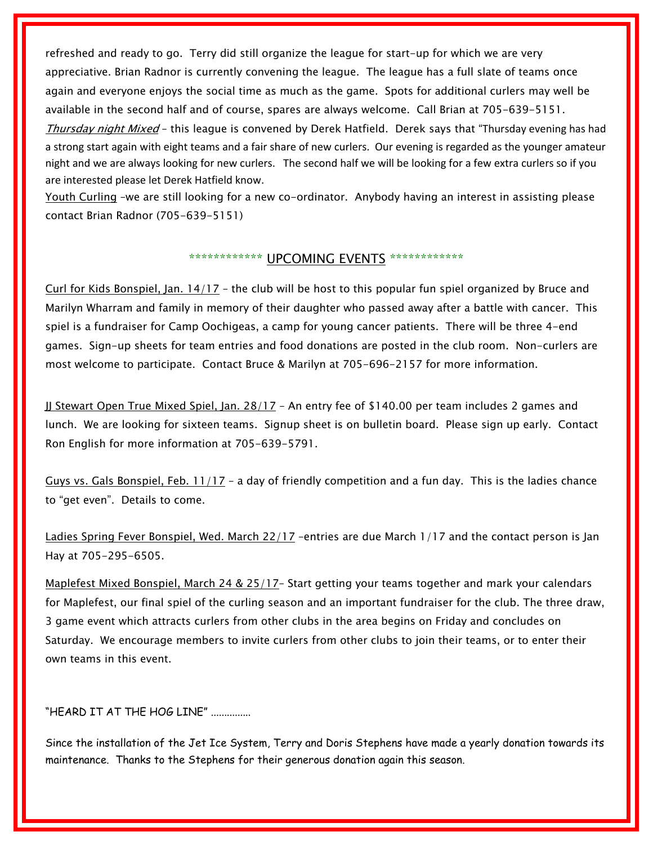refreshed and ready to go. Terry did still organize the league for start-up for which we are very appreciative. Brian Radnor is currently convening the league. The league has a full slate of teams once again and everyone enjoys the social time as much as the game. Spots for additional curlers may well be available in the second half and of course, spares are always welcome. Call Brian at 705-639-5151. *Thursday night Mixed* – this league is convened by Derek Hatfield. Derek says that "Thursday evening has had a strong start again with eight teams and a fair share of new curlers. Our evening is regarded as the younger amateur night and we are always looking for new curlers. The second half we will be looking for a few extra curlers so if you are interested please let Derek Hatfield know.

Youth Curling –we are still looking for a new co-ordinator. Anybody having an interest in assisting please contact Brian Radnor (705-639-5151)

#### \*\*\*\*\*\*\*\*\*\*\*\* UPCOMING EVENTS \*\*\*\*\*\*\*\*\*\*\*\*\*

Curl for Kids Bonspiel, Jan. 14/17 – the club will be host to this popular fun spiel organized by Bruce and Marilyn Wharram and family in memory of their daughter who passed away after a battle with cancer. This spiel is a fundraiser for Camp Oochigeas, a camp for young cancer patients. There will be three 4-end games. Sign-up sheets for team entries and food donations are posted in the club room. Non-curlers are most welcome to participate. Contact Bruce & Marilyn at 705-696-2157 for more information.

JJ Stewart Open True Mixed Spiel, Jan. 28/17 – An entry fee of \$140.00 per team includes 2 games and lunch. We are looking for sixteen teams. Signup sheet is on bulletin board. Please sign up early. Contact Ron English for more information at 705-639-5791.

Guys vs. Gals Bonspiel, Feb. 11/17 – a day of friendly competition and a fun day. This is the ladies chance to "get even". Details to come.

Ladies Spring Fever Bonspiel, Wed. March 22/17 –entries are due March 1/17 and the contact person is Jan Hayat 705-295-6505.

Maplefest Mixed Bonspiel, March 24 & 25/17– Start getting your teams together and mark your calendars for Maplefest, our final spiel of the curling season and an important fundraiser for the club. The three draw, 3 game event which attracts curlers from other clubs in the area begins on Friday and concludes on Saturday. We encourage members to invite curlers from other clubs to join their teams, or to enter their own teams in this event.

"HEARD IT AT THE HOG LINE" ...............

Since the installation of the Jet Ice System, Terry and Doris Stephens have made a yearly donation towards its maintenance. Thanks to the Stephens for their generous donation again this season.